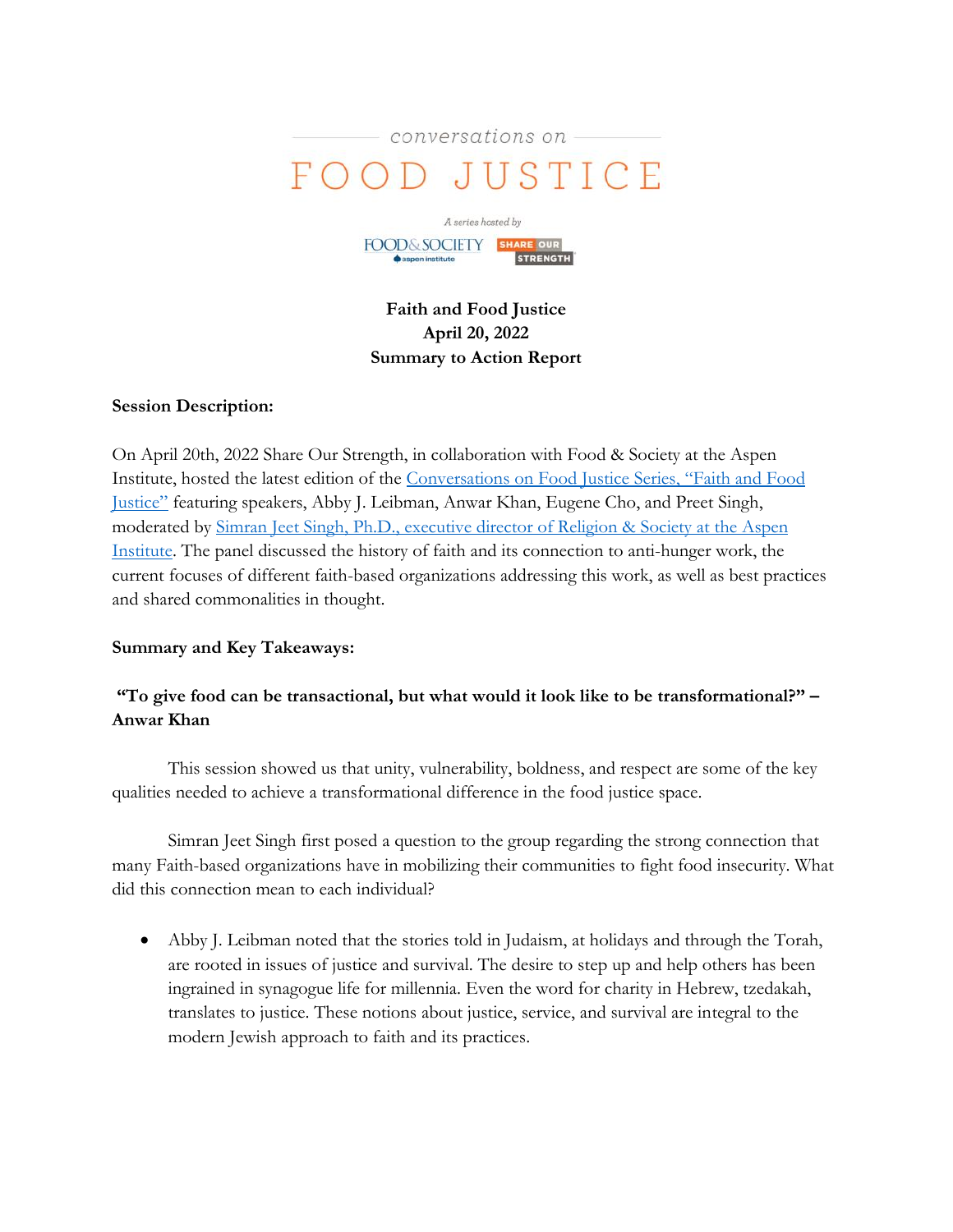



**Faith and Food Justice April 20, 2022 Summary to Action Report**

### **Session Description:**

On April 20th, 2022 Share Our Strength, in collaboration with Food & Society at the Aspen Institute, hosted the latest edition of the [Conversations on Food Justice Series,](https://www.aspeninstitute.org/programs/food-and-society-program/conversations-on-food-justice/) "Faith and Food [Justice](https://www.aspeninstitute.org/programs/food-and-society-program/conversations-on-food-justice/)" featuring speakers, Abby J. Leibman, Anwar Khan, Eugene Cho, and Preet Singh, moderated by [Simran Jeet Singh, Ph.D., executive director of Religion & Society at](https://www.aspeninstitute.org/our-people/simran-jeet-singh/) the Aspen [Institute.](https://www.aspeninstitute.org/our-people/simran-jeet-singh/) The panel discussed the history of faith and its connection to anti-hunger work, the current focuses of different faith-based organizations addressing this work, as well as best practices and shared commonalities in thought.

## **Summary and Key Takeaways:**

# **"To give food can be transactional, but what would it look like to be transformational?" – Anwar Khan**

This session showed us that unity, vulnerability, boldness, and respect are some of the key qualities needed to achieve a transformational difference in the food justice space.

Simran Jeet Singh first posed a question to the group regarding the strong connection that many Faith-based organizations have in mobilizing their communities to fight food insecurity. What did this connection mean to each individual?

• Abby J. Leibman noted that the stories told in Judaism, at holidays and through the Torah, are rooted in issues of justice and survival. The desire to step up and help others has been ingrained in synagogue life for millennia. Even the word for charity in Hebrew, tzedakah, translates to justice. These notions about justice, service, and survival are integral to the modern Jewish approach to faith and its practices.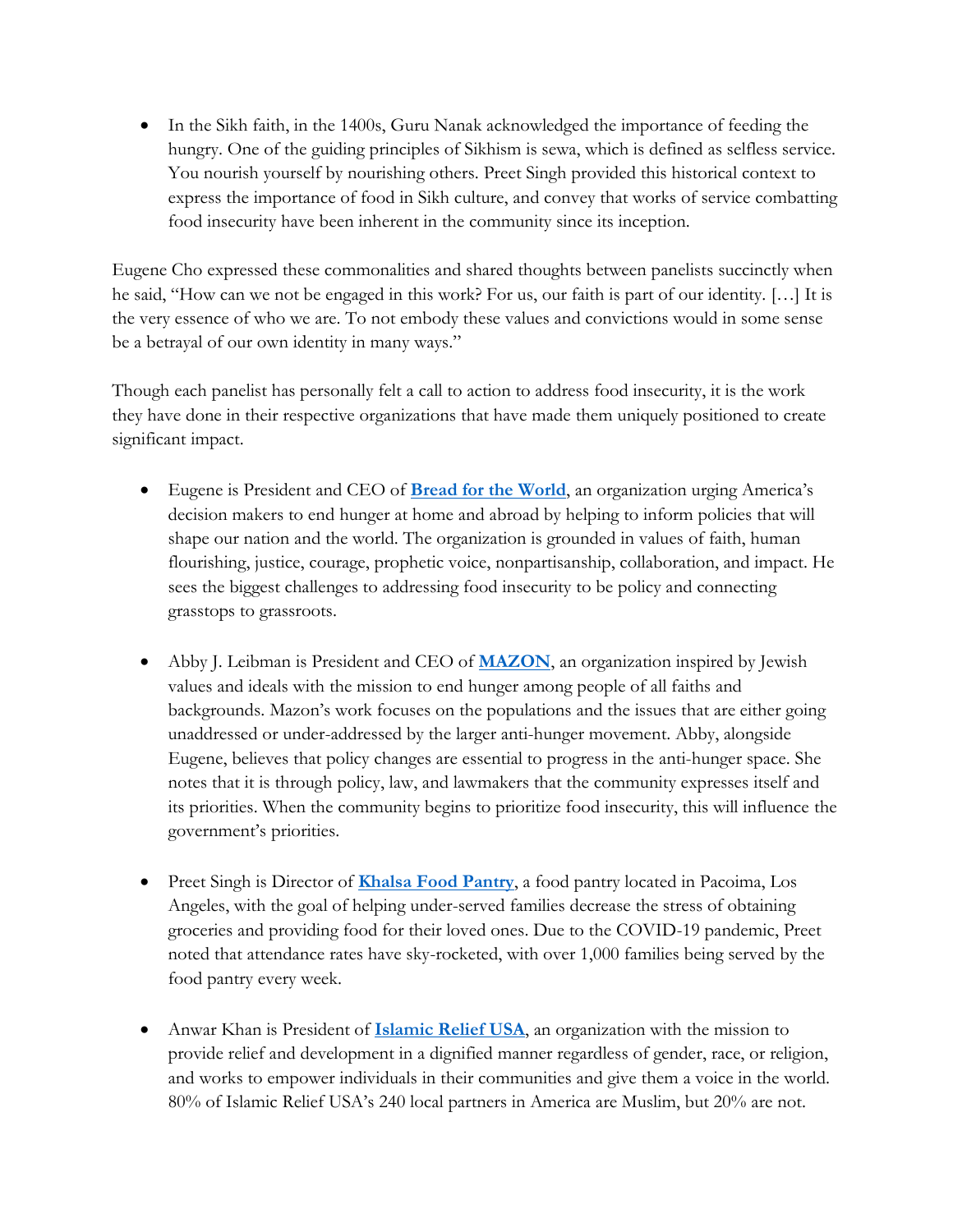• In the Sikh faith, in the 1400s, Guru Nanak acknowledged the importance of feeding the hungry. One of the guiding principles of Sikhism is sewa, which is defined as selfless service. You nourish yourself by nourishing others. Preet Singh provided this historical context to express the importance of food in Sikh culture, and convey that works of service combatting food insecurity have been inherent in the community since its inception.

Eugene Cho expressed these commonalities and shared thoughts between panelists succinctly when he said, "How can we not be engaged in this work? For us, our faith is part of our identity. […] It is the very essence of who we are. To not embody these values and convictions would in some sense be a betrayal of our own identity in many ways."

Though each panelist has personally felt a call to action to address food insecurity, it is the work they have done in their respective organizations that have made them uniquely positioned to create significant impact.

- Eugene is President and CEO of **[Bread for the World](https://www.bread.org/)**, an organization urging America's decision makers to end hunger at home and abroad by helping to inform policies that will shape our nation and the world. The organization is grounded in values of faith, human flourishing, justice, courage, prophetic voice, nonpartisanship, collaboration, and impact. He sees the biggest challenges to addressing food insecurity to be policy and connecting grasstops to grassroots.
- Abby J. Leibman is President and CEO of **[MAZON](https://mazon.org/)**, an organization inspired by Jewish values and ideals with the mission to end hunger among people of all faiths and backgrounds. Mazon's work focuses on the populations and the issues that are either going unaddressed or under-addressed by the larger anti-hunger movement. Abby, alongside Eugene, believes that policy changes are essential to progress in the anti-hunger space. She notes that it is through policy, law, and lawmakers that the community expresses itself and its priorities. When the community begins to prioritize food insecurity, this will influence the government's priorities.
- Preet Singh is Director of **[Khalsa Food Pantry](https://khalsafoodpantry.org/)**, a food pantry located in Pacoima, Los Angeles, with the goal of helping under-served families decrease the stress of obtaining groceries and providing food for their loved ones. Due to the COVID-19 pandemic, Preet noted that attendance rates have sky-rocketed, with over 1,000 families being served by the food pantry every week.
- Anwar Khan is President of **[Islamic Relief USA](https://irusa.org/ramadan/?utm_source=google&utm_medium=cpc&utm_source=google-ads&utm_medium=cpc&utm_campaign=&utm_term=islamic%20relief&device=c&network=g&placement=&creative=433963549407&matchtype=b&targetid=kwd-13186220&&campaign_id=9914373314&ad_group_id=97786707782&gclid=CjwKCAjwjZmTBhB4EiwAynRmD3BRd7k27Dunh56TXPfP1nR5hwi5XbwI51UiS2tFSLOk9GWmAdOGCRoCEHQQAvD_BwE)**, an organization with the mission to provide relief and development in a dignified manner regardless of gender, race, or religion, and works to empower individuals in their communities and give them a voice in the world. 80% of Islamic Relief USA's 240 local partners in America are Muslim, but 20% are not.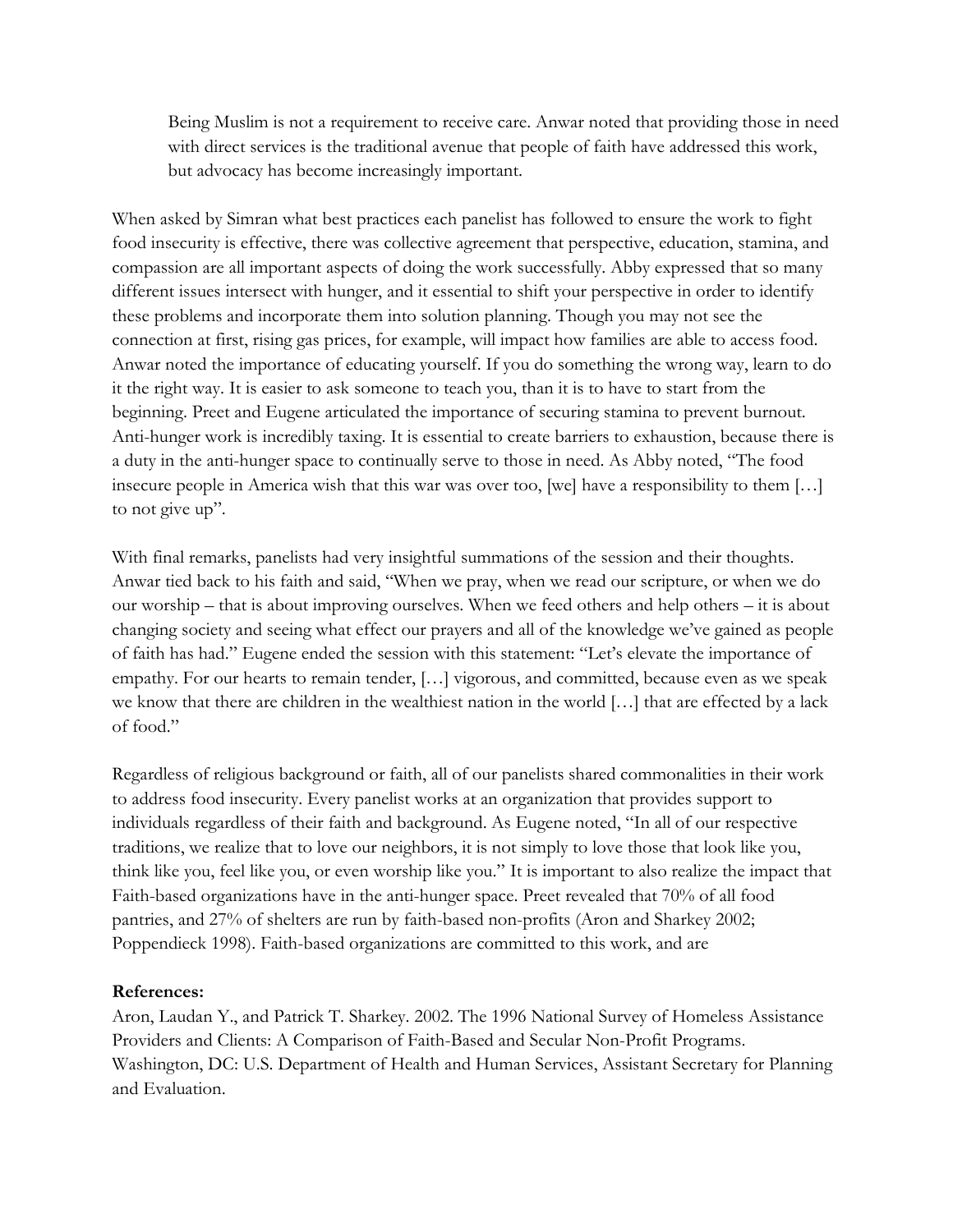Being Muslim is not a requirement to receive care. Anwar noted that providing those in need with direct services is the traditional avenue that people of faith have addressed this work, but advocacy has become increasingly important.

When asked by Simran what best practices each panelist has followed to ensure the work to fight food insecurity is effective, there was collective agreement that perspective, education, stamina, and compassion are all important aspects of doing the work successfully. Abby expressed that so many different issues intersect with hunger, and it essential to shift your perspective in order to identify these problems and incorporate them into solution planning. Though you may not see the connection at first, rising gas prices, for example, will impact how families are able to access food. Anwar noted the importance of educating yourself. If you do something the wrong way, learn to do it the right way. It is easier to ask someone to teach you, than it is to have to start from the beginning. Preet and Eugene articulated the importance of securing stamina to prevent burnout. Anti-hunger work is incredibly taxing. It is essential to create barriers to exhaustion, because there is a duty in the anti-hunger space to continually serve to those in need. As Abby noted, "The food insecure people in America wish that this war was over too, [we] have a responsibility to them […] to not give up".

With final remarks, panelists had very insightful summations of the session and their thoughts. Anwar tied back to his faith and said, "When we pray, when we read our scripture, or when we do our worship – that is about improving ourselves. When we feed others and help others – it is about changing society and seeing what effect our prayers and all of the knowledge we've gained as people of faith has had." Eugene ended the session with this statement: "Let's elevate the importance of empathy. For our hearts to remain tender, […] vigorous, and committed, because even as we speak we know that there are children in the wealthiest nation in the world […] that are effected by a lack of food."

Regardless of religious background or faith, all of our panelists shared commonalities in their work to address food insecurity. Every panelist works at an organization that provides support to individuals regardless of their faith and background. As Eugene noted, "In all of our respective traditions, we realize that to love our neighbors, it is not simply to love those that look like you, think like you, feel like you, or even worship like you." It is important to also realize the impact that Faith-based organizations have in the anti-hunger space. Preet revealed that 70% of all food pantries, and 27% of shelters are run by faith-based non-profits (Aron and Sharkey 2002; Poppendieck 1998). Faith-based organizations are committed to this work, and are

#### **References:**

Aron, Laudan Y., and Patrick T. Sharkey. 2002. The 1996 National Survey of Homeless Assistance Providers and Clients: A Comparison of Faith-Based and Secular Non-Profit Programs. Washington, DC: U.S. Department of Health and Human Services, Assistant Secretary for Planning and Evaluation.